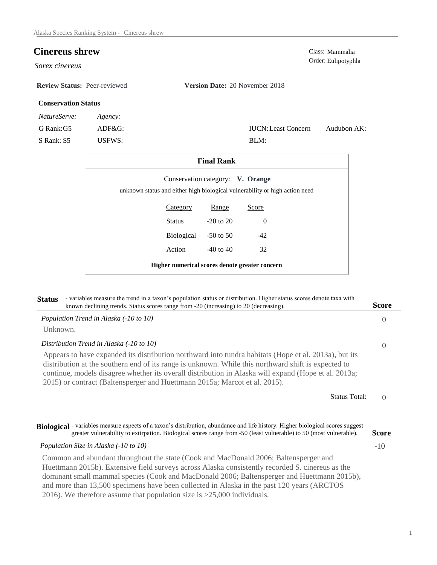## **Cinereus shrew** Class: Mammalia

*Sorex cinereus* 

**Review Status:** Peer-reviewed **Version Date:** 20 November 2018

## **Conservation Status**

| <i>NatureServe:</i> | Agency:   |
|---------------------|-----------|
| G Rank: G5          | $ADF&G$ : |

S Rank: S5 USFWS:

| <b>IUCN:</b> Least Concern | Audubon AK: |
|----------------------------|-------------|
| BLM:                       |             |

|                                                                             |                 | <b>Final Rank</b>                              |          |  |
|-----------------------------------------------------------------------------|-----------------|------------------------------------------------|----------|--|
| unknown status and either high biological vulnerability or high action need |                 | Conservation category: V. Orange               |          |  |
|                                                                             | <b>Category</b> | Range                                          | Score    |  |
|                                                                             | Status          | $-20$ to 20                                    | $\Omega$ |  |
|                                                                             | Biological      | $-50$ to 50                                    | $-42$    |  |
|                                                                             | Action          | $-40$ to $40$                                  | 32       |  |
|                                                                             |                 | Higher numerical scores denote greater concern |          |  |

| - variables measure the trend in a taxon's population status or distribution. Higher status scores denote taxa with<br><b>Status</b><br>known declining trends. Status scores range from -20 (increasing) to 20 (decreasing).                                                                                                                                                                                                                                       | <b>Score</b> |
|---------------------------------------------------------------------------------------------------------------------------------------------------------------------------------------------------------------------------------------------------------------------------------------------------------------------------------------------------------------------------------------------------------------------------------------------------------------------|--------------|
| Population Trend in Alaska (-10 to 10)                                                                                                                                                                                                                                                                                                                                                                                                                              | $\Omega$     |
| Unknown.                                                                                                                                                                                                                                                                                                                                                                                                                                                            |              |
| Distribution Trend in Alaska (-10 to 10)                                                                                                                                                                                                                                                                                                                                                                                                                            | $\Omega$     |
| Appears to have expanded its distribution northward into tundra habitats (Hope et al. 2013a), but its<br>distribution at the southern end of its range is unknown. While this northward shift is expected to<br>continue, models disagree whether its overall distribution in Alaska will expand (Hope et al. 2013a;<br>2015) or contract (Baltensperger and Huettmann 2015a; Marcot et al. 2015).                                                                  |              |
| <b>Status Total:</b>                                                                                                                                                                                                                                                                                                                                                                                                                                                | $\Omega$     |
| Biological - variables measure aspects of a taxon's distribution, abundance and life history. Higher biological scores suggest<br>greater vulnerability to extirpation. Biological scores range from -50 (least vulnerable) to 50 (most vulnerable).                                                                                                                                                                                                                | <b>Score</b> |
| Population Size in Alaska (-10 to 10)                                                                                                                                                                                                                                                                                                                                                                                                                               | $-10$        |
| Common and abundant throughout the state (Cook and MacDonald 2006; Baltensperger and<br>Huettmann 2015b). Extensive field surveys across Alaska consistently recorded S. cinereus as the<br>dominant small mammal species (Cook and MacDonald 2006; Baltensperger and Huettmann 2015b),<br>and more than 13,500 specimens have been collected in Alaska in the past 120 years (ARCTOS)<br>2016). We therefore assume that population size is $>25,000$ individuals. |              |

# Order: Eulipotyphla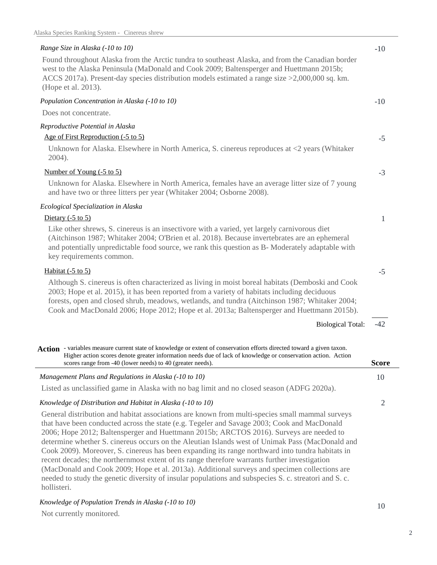### -10 -10 -5 -3 1 -5 -42 *Range Size in Alaska (-10 to 10)* Found throughout Alaska from the Arctic tundra to southeast Alaska, and from the Canadian border west to the Alaska Peninsula (MaDonald and Cook 2009; Baltensperger and Huettmann 2015b; ACCS 2017a). Present-day species distribution models estimated a range size >2,000,000 sq. km. (Hope et al. 2013). *Population Concentration in Alaska (-10 to 10)* Does not concentrate. *Reproductive Potential in Alaska* Unknown for Alaska. Elsewhere in North America, S. cinereus reproduces at <2 years (Whitaker 2004). Unknown for Alaska. Elsewhere in North America, females have an average litter size of 7 young and have two or three litters per year (Whitaker 2004; Osborne 2008). Number of Young (-5 to 5) Like other shrews, S. cinereus is an insectivore with a varied, yet largely carnivorous diet (Aitchinson 1987; Whitaker 2004; O'Brien et al. 2018). Because invertebrates are an ephemeral and potentially unpredictable food source, we rank this question as B- Moderately adaptable with key requirements common. Habitat (-5 to 5) Although S. cinereus is often characterized as living in moist boreal habitats (Demboski and Cook 2003; Hope et al. 2015), it has been reported from a variety of habitats including deciduous forests, open and closed shrub, meadows, wetlands, and tundra (Aitchinson 1987; Whitaker 2004; Cook and MacDonald 2006; Hope 2012; Hope et al. 2013a; Baltensperger and Huettmann 2015b). Age of First Reproduction (-5 to 5) *Ecological Specialization in Alaska* Dietary (-5 to 5) Biological Total: 2 10 *Knowledge of Distribution and Habitat in Alaska (-10 to 10)* General distribution and habitat associations are known from multi-species small mammal surveys *Management Plans and Regulations in Alaska (-10 to 10)* Listed as unclassified game in Alaska with no bag limit and no closed season (ADFG 2020a). Action - variables measure current state of knowledge or extent of conservation efforts directed toward a given taxon. **Score** Higher action scores denote greater information needs due of lack of knowledge or conservation action. Action scores range from -40 (lower needs) to 40 (greater needs).

that have been conducted across the state (e.g. Tegeler and Savage 2003; Cook and MacDonald 2006; Hope 2012; Baltensperger and Huettmann 2015b; ARCTOS 2016). Surveys are needed to determine whether S. cinereus occurs on the Aleutian Islands west of Unimak Pass (MacDonald and Cook 2009). Moreover, S. cinereus has been expanding its range northward into tundra habitats in recent decades; the northernmost extent of its range therefore warrants further investigation (MacDonald and Cook 2009; Hope et al. 2013a). Additional surveys and specimen collections are needed to study the genetic diversity of insular populations and subspecies S. c. streatori and S. c. hollisteri.

*Knowledge of Population Trends in Alaska (-10 to 10)*

Not currently monitored.

10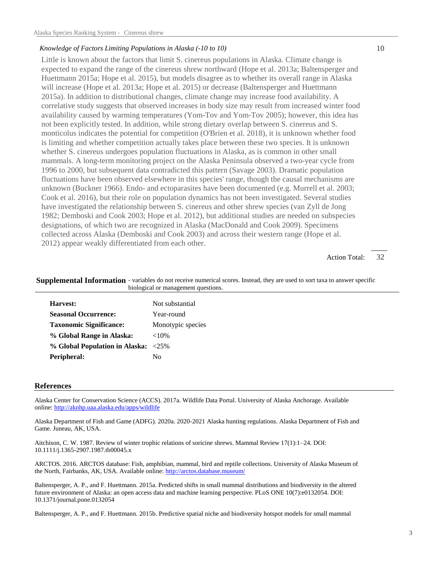#### *Knowledge of Factors Limiting Populations in Alaska (-10 to 10)*

Little is known about the factors that limit S. cinereus populations in Alaska. Climate change is expected to expand the range of the cinereus shrew northward (Hope et al. 2013a; Baltensperger and Huettmann 2015a; Hope et al. 2015), but models disagree as to whether its overall range in Alaska will increase (Hope et al. 2013a; Hope et al. 2015) or decrease (Baltensperger and Huettmann 2015a). In addition to distributional changes, climate change may increase food availability. A correlative study suggests that observed increases in body size may result from increased winter food availability caused by warming temperatures (Yom-Tov and Yom-Tov 2005); however, this idea has not been explicitly tested. In addition, while strong dietary overlap between S. cinereus and S. monticolus indicates the potential for competition (O'Brien et al. 2018), it is unknown whether food is limiting and whether competition actually takes place between these two species. It is unknown whether S. cinereus undergoes population fluctuations in Alaska, as is common in other small mammals. A long-term monitoring project on the Alaska Peninsula observed a two-year cycle from 1996 to 2000, but subsequent data contradicted this pattern (Savage 2003). Dramatic population fluctuations have been observed elsewhere in this species' range, though the causal mechanisms are unknown (Buckner 1966). Endo- and ectoparasites have been documented (e.g. Murrell et al. 2003; Cook et al. 2016), but their role on population dynamics has not been investigated. Several studies have investigated the relationship between S. cinereus and other shrew species (van Zyll de Jong 1982; Demboski and Cook 2003; Hope et al. 2012), but additional studies are needed on subspecies designations, of which two are recognized in Alaska (MacDonald and Cook 2009). Specimens collected across Alaska (Demboski and Cook 2003) and across their western range (Hope et al. 2012) appear weakly differentiated from each other.

> 32 Action Total:

| Harvest:                            | Not substantial   |
|-------------------------------------|-------------------|
| <b>Seasonal Occurrence:</b>         | Year-round        |
| <b>Taxonomic Significance:</b>      | Monotypic species |
| % Global Range in Alaska:           | ${<}10\%$         |
| % Global Population in Alaska: <25% |                   |
| Peripheral:                         | No                |

biological or management questions.

Supplemental Information - variables do not receive numerical scores. Instead, they are used to sort taxa to answer specific

#### **References**

Alaska Center for Conservation Science (ACCS). 2017a. Wildlife Data Portal. University of Alaska Anchorage. Available online: http://aknhp.uaa.alaska.edu/apps/wildlife

Alaska Department of Fish and Game (ADFG). 2020a. 2020-2021 Alaska hunting regulations. Alaska Department of Fish and Game. Juneau, AK, USA.

Aitchison, C. W. 1987. Review of winter trophic relations of soricine shrews. Mammal Review 17(1):1–24. DOI: 10.1111/j.1365-2907.1987.tb00045.x

ARCTOS. 2016. ARCTOS database: Fish, amphibian, mammal, bird and reptile collections. University of Alaska Museum of the North, Fairbanks, AK, USA. Available online: http://arctos.database.museum/

Baltensperger, A. P., and F. Huettmann. 2015a. Predicted shifts in small mammal distributions and biodiversity in the altered future environment of Alaska: an open access data and machine learning perspective. PLoS ONE 10(7):e0132054. DOI: 10.1371/journal.pone.0132054

Baltensperger, A. P., and F. Huettmann. 2015b. Predictive spatial niche and biodiversity hotspot models for small mammal